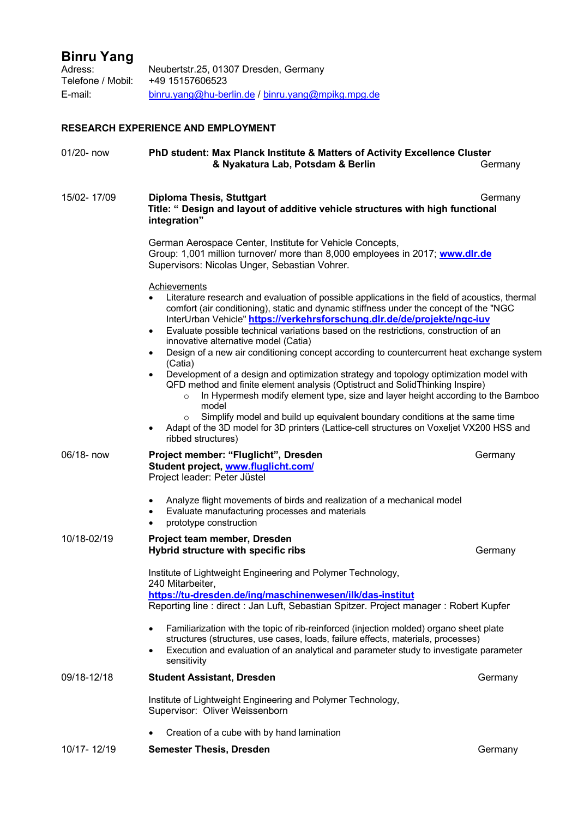# **Binru Yang**

| Adress:           | Neubertstr.25, 01307 Dresden, Germany             |
|-------------------|---------------------------------------------------|
| Telefone / Mobil: | +49 15157606523                                   |
| E-mail:           | binru.yang@hu-berlin.de / binru.yang@mpikg.mpg.de |

# **RESEARCH EXPERIENCE AND EMPLOYMENT**

| 01/20- now  | PhD student: Max Planck Institute & Matters of Activity Excellence Cluster<br>& Nyakatura Lab, Potsdam & Berlin                                                                                                                                                                                                                                                                                                                                                                                                                                                                                                                                                                                                                                                                                                                                                                                                                                                                                                                                                               | Germany |
|-------------|-------------------------------------------------------------------------------------------------------------------------------------------------------------------------------------------------------------------------------------------------------------------------------------------------------------------------------------------------------------------------------------------------------------------------------------------------------------------------------------------------------------------------------------------------------------------------------------------------------------------------------------------------------------------------------------------------------------------------------------------------------------------------------------------------------------------------------------------------------------------------------------------------------------------------------------------------------------------------------------------------------------------------------------------------------------------------------|---------|
| 15/02-17/09 | <b>Diploma Thesis, Stuttgart</b><br>Title: " Design and layout of additive vehicle structures with high functional<br>integration"                                                                                                                                                                                                                                                                                                                                                                                                                                                                                                                                                                                                                                                                                                                                                                                                                                                                                                                                            | Germany |
|             | German Aerospace Center, Institute for Vehicle Concepts,<br>Group: 1,001 million turnover/ more than 8,000 employees in 2017; www.dlr.de<br>Supervisors: Nicolas Unger, Sebastian Vohrer.                                                                                                                                                                                                                                                                                                                                                                                                                                                                                                                                                                                                                                                                                                                                                                                                                                                                                     |         |
|             | <b>Achievements</b><br>Literature research and evaluation of possible applications in the field of acoustics, thermal<br>comfort (air conditioning), static and dynamic stiffness under the concept of the "NGC<br>InterUrban Vehicle" https://verkehrsforschung.dlr.de/de/projekte/ngc-iuv<br>Evaluate possible technical variations based on the restrictions, construction of an<br>$\bullet$<br>innovative alternative model (Catia)<br>Design of a new air conditioning concept according to countercurrent heat exchange system<br>$\bullet$<br>(Catia)<br>Development of a design and optimization strategy and topology optimization model with<br>$\bullet$<br>QFD method and finite element analysis (Optistruct and SolidThinking Inspire)<br>In Hypermesh modify element type, size and layer height according to the Bamboo<br>$\circ$<br>model<br>Simplify model and build up equivalent boundary conditions at the same time<br>$\circ$<br>Adapt of the 3D model for 3D printers (Lattice-cell structures on Voxeljet VX200 HSS and<br>٠<br>ribbed structures) |         |
| 06/18- now  | Project member: "Fluglicht", Dresden<br>Student project, www.fluglicht.com/<br>Project leader: Peter Jüstel                                                                                                                                                                                                                                                                                                                                                                                                                                                                                                                                                                                                                                                                                                                                                                                                                                                                                                                                                                   | Germany |
|             | Analyze flight movements of birds and realization of a mechanical model<br>$\bullet$<br>Evaluate manufacturing processes and materials<br>$\bullet$<br>prototype construction<br>٠                                                                                                                                                                                                                                                                                                                                                                                                                                                                                                                                                                                                                                                                                                                                                                                                                                                                                            |         |
| 10/18-02/19 | Project team member, Dresden<br>Hybrid structure with specific ribs                                                                                                                                                                                                                                                                                                                                                                                                                                                                                                                                                                                                                                                                                                                                                                                                                                                                                                                                                                                                           | Germany |
|             | Institute of Lightweight Engineering and Polymer Technology,<br>240 Mitarbeiter,<br>https://tu-dresden.de/ing/maschinenwesen/ilk/das-institut<br>Reporting line: direct: Jan Luft, Sebastian Spitzer. Project manager: Robert Kupfer                                                                                                                                                                                                                                                                                                                                                                                                                                                                                                                                                                                                                                                                                                                                                                                                                                          |         |
|             | Familiarization with the topic of rib-reinforced (injection molded) organo sheet plate<br>$\bullet$<br>structures (structures, use cases, loads, failure effects, materials, processes)<br>Execution and evaluation of an analytical and parameter study to investigate parameter<br>٠<br>sensitivity                                                                                                                                                                                                                                                                                                                                                                                                                                                                                                                                                                                                                                                                                                                                                                         |         |
| 09/18-12/18 | <b>Student Assistant, Dresden</b>                                                                                                                                                                                                                                                                                                                                                                                                                                                                                                                                                                                                                                                                                                                                                                                                                                                                                                                                                                                                                                             | Germany |
|             | Institute of Lightweight Engineering and Polymer Technology,<br>Supervisor: Oliver Weissenborn                                                                                                                                                                                                                                                                                                                                                                                                                                                                                                                                                                                                                                                                                                                                                                                                                                                                                                                                                                                |         |
|             | Creation of a cube with by hand lamination                                                                                                                                                                                                                                                                                                                                                                                                                                                                                                                                                                                                                                                                                                                                                                                                                                                                                                                                                                                                                                    |         |
| 10/17-12/19 | <b>Semester Thesis, Dresden</b>                                                                                                                                                                                                                                                                                                                                                                                                                                                                                                                                                                                                                                                                                                                                                                                                                                                                                                                                                                                                                                               | Germany |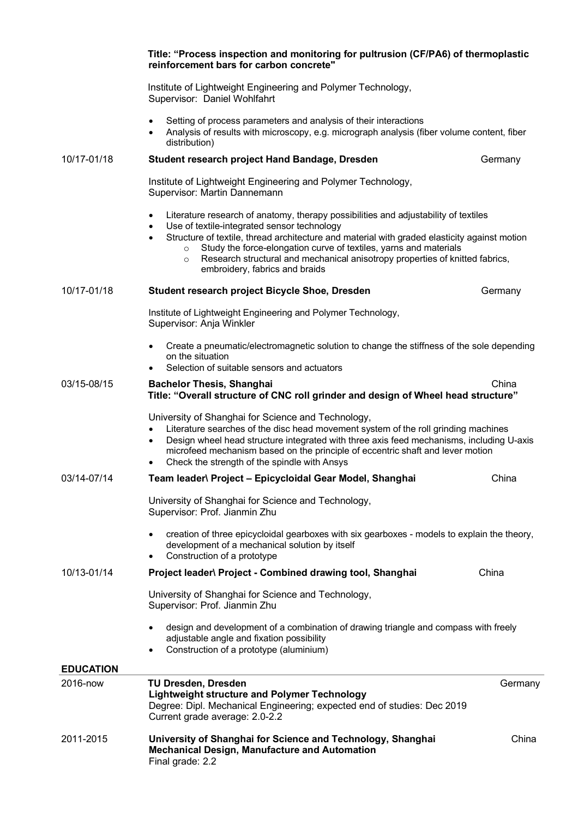|                  | Title: "Process inspection and monitoring for pultrusion (CF/PA6) of thermoplastic<br>reinforcement bars for carbon concrete"                                                                                                                                                                                                                                                                                                                                                  |         |
|------------------|--------------------------------------------------------------------------------------------------------------------------------------------------------------------------------------------------------------------------------------------------------------------------------------------------------------------------------------------------------------------------------------------------------------------------------------------------------------------------------|---------|
|                  | Institute of Lightweight Engineering and Polymer Technology,<br>Supervisor: Daniel Wohlfahrt                                                                                                                                                                                                                                                                                                                                                                                   |         |
|                  | Setting of process parameters and analysis of their interactions<br>Analysis of results with microscopy, e.g. micrograph analysis (fiber volume content, fiber<br>$\bullet$<br>distribution)                                                                                                                                                                                                                                                                                   |         |
| 10/17-01/18      | Student research project Hand Bandage, Dresden                                                                                                                                                                                                                                                                                                                                                                                                                                 | Germany |
|                  | Institute of Lightweight Engineering and Polymer Technology,<br>Supervisor: Martin Dannemann                                                                                                                                                                                                                                                                                                                                                                                   |         |
|                  | Literature research of anatomy, therapy possibilities and adjustability of textiles<br>$\bullet$<br>Use of textile-integrated sensor technology<br>٠<br>Structure of textile, thread architecture and material with graded elasticity against motion<br>$\bullet$<br>Study the force-elongation curve of textiles, yarns and materials<br>$\circ$<br>Research structural and mechanical anisotropy properties of knitted fabrics,<br>$\circ$<br>embroidery, fabrics and braids |         |
| 10/17-01/18      | Student research project Bicycle Shoe, Dresden                                                                                                                                                                                                                                                                                                                                                                                                                                 | Germany |
|                  | Institute of Lightweight Engineering and Polymer Technology,<br>Supervisor: Anja Winkler                                                                                                                                                                                                                                                                                                                                                                                       |         |
|                  | Create a pneumatic/electromagnetic solution to change the stiffness of the sole depending<br>on the situation<br>Selection of suitable sensors and actuators                                                                                                                                                                                                                                                                                                                   |         |
| 03/15-08/15      | <b>Bachelor Thesis, Shanghai</b><br>Title: "Overall structure of CNC roll grinder and design of Wheel head structure"                                                                                                                                                                                                                                                                                                                                                          | China   |
|                  | University of Shanghai for Science and Technology,<br>Literature searches of the disc head movement system of the roll grinding machines<br>Design wheel head structure integrated with three axis feed mechanisms, including U-axis<br>$\bullet$<br>microfeed mechanism based on the principle of eccentric shaft and lever motion<br>Check the strength of the spindle with Ansys                                                                                            |         |
| 03/14-07/14      | Team leader\ Project - Epicycloidal Gear Model, Shanghai                                                                                                                                                                                                                                                                                                                                                                                                                       | China   |
|                  | University of Shanghai for Science and Technology,<br>Supervisor: Prof. Jianmin Zhu                                                                                                                                                                                                                                                                                                                                                                                            |         |
|                  | creation of three epicycloidal gearboxes with six gearboxes - models to explain the theory,<br>development of a mechanical solution by itself<br>Construction of a prototype<br>$\bullet$                                                                                                                                                                                                                                                                                      |         |
| 10/13-01/14      | Project leader\ Project - Combined drawing tool, Shanghai                                                                                                                                                                                                                                                                                                                                                                                                                      | China   |
|                  | University of Shanghai for Science and Technology,<br>Supervisor: Prof. Jianmin Zhu                                                                                                                                                                                                                                                                                                                                                                                            |         |
|                  | design and development of a combination of drawing triangle and compass with freely<br>adjustable angle and fixation possibility<br>Construction of a prototype (aluminium)                                                                                                                                                                                                                                                                                                    |         |
| <b>EDUCATION</b> |                                                                                                                                                                                                                                                                                                                                                                                                                                                                                |         |
| 2016-now         | <b>TU Dresden, Dresden</b><br><b>Lightweight structure and Polymer Technology</b><br>Degree: Dipl. Mechanical Engineering; expected end of studies: Dec 2019<br>Current grade average: 2.0-2.2                                                                                                                                                                                                                                                                                 | Germany |
| 2011-2015        | University of Shanghai for Science and Technology, Shanghai<br><b>Mechanical Design, Manufacture and Automation</b><br>Final grade: 2.2                                                                                                                                                                                                                                                                                                                                        | China   |